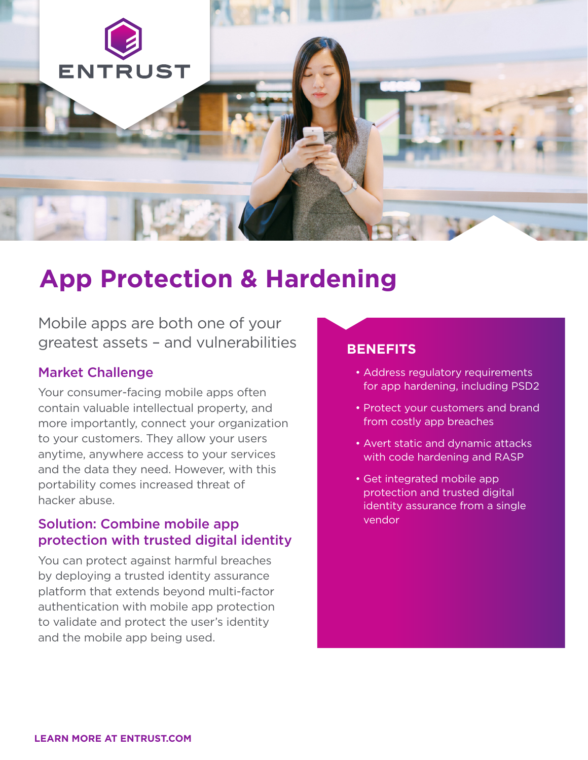

# **App Protection & Hardening**

Mobile apps are both one of your greatest assets – and vulnerabilities

#### Market Challenge

Your consumer-facing mobile apps often contain valuable intellectual property, and more importantly, connect your organization to your customers. They allow your users anytime, anywhere access to your services and the data they need. However, with this portability comes increased threat of hacker abuse.

### Solution: Combine mobile app protection with trusted digital identity

You can protect against harmful breaches by deploying a trusted identity assurance platform that extends beyond multi-factor authentication with mobile app protection to validate and protect the user's identity and the mobile app being used.

### **BENEFITS**

- Address regulatory requirements for app hardening, including PSD2
- Protect your customers and brand from costly app breaches
- Avert static and dynamic attacks with code hardening and RASP
- Get integrated mobile app protection and trusted digital identity assurance from a single vendor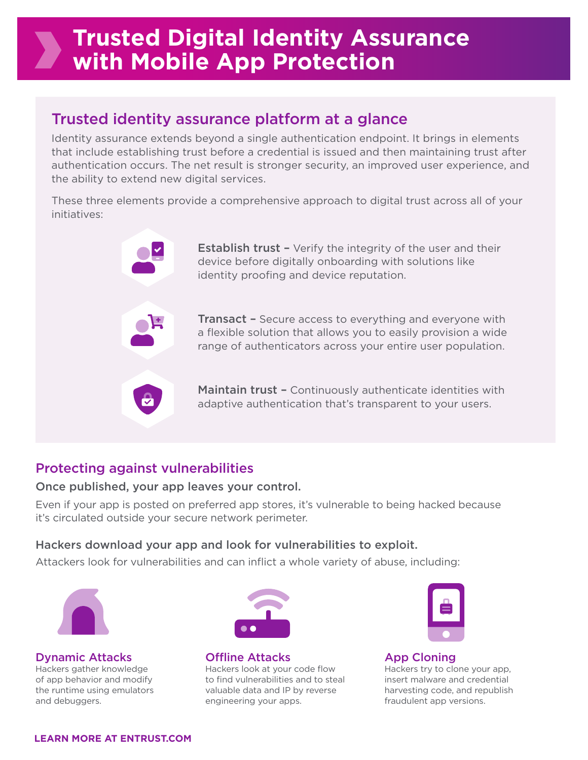## **Trusted Digital Identity Assurance with Mobile App Protection**

## Trusted identity assurance platform at a glance

Identity assurance extends beyond a single authentication endpoint. It brings in elements that include establishing trust before a credential is issued and then maintaining trust after authentication occurs. The net result is stronger security, an improved user experience, and the ability to extend new digital services.

These three elements provide a comprehensive approach to digital trust across all of your initiatives:

> **Establish trust -** Verify the integrity of the user and their device before digitally onboarding with solutions like identity proofing and device reputation.

**Transact -** Secure access to everything and everyone with a flexible solution that allows you to easily provision a wide range of authenticators across your entire user population.

Maintain trust - Continuously authenticate identities with adaptive authentication that's transparent to your users.

## Protecting against vulnerabilities

#### Once published, your app leaves your control.

Even if your app is posted on preferred app stores, it's vulnerable to being hacked because it's circulated outside your secure network perimeter.

#### Hackers download your app and look for vulnerabilities to exploit.

Attackers look for vulnerabilities and can inflict a whole variety of abuse, including:



Dynamic Attacks Hackers gather knowledge of app behavior and modify the runtime using emulators and debuggers.



Offline Attacks Hackers look at your code flow to find vulnerabilities and to steal valuable data and IP by reverse engineering your apps.



App Cloning Hackers try to clone your app, insert malware and credential harvesting code, and republish fraudulent app versions.

**LEARN MORE AT ENTRUST.COM**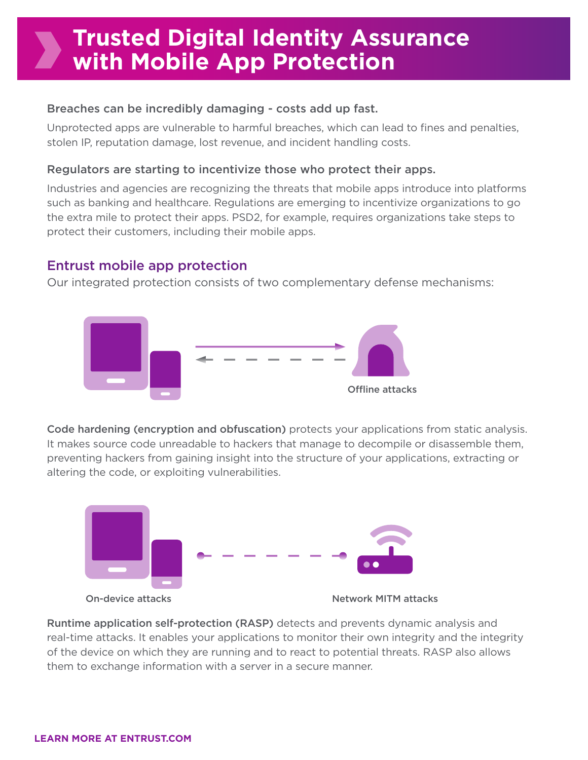## **Trusted Digital Identity Assurance with Mobile App Protection**

#### Breaches can be incredibly damaging - costs add up fast.

Unprotected apps are vulnerable to harmful breaches, which can lead to fines and penalties, stolen IP, reputation damage, lost revenue, and incident handling costs.

#### Regulators are starting to incentivize those who protect their apps.

Industries and agencies are recognizing the threats that mobile apps introduce into platforms such as banking and healthcare. Regulations are emerging to incentivize organizations to go the extra mile to protect their apps. PSD2, for example, requires organizations take steps to protect their customers, including their mobile apps.

### Entrust mobile app protection

Our integrated protection consists of two complementary defense mechanisms:



Code hardening (encryption and obfuscation) protects your applications from static analysis. It makes source code unreadable to hackers that manage to decompile or disassemble them, preventing hackers from gaining insight into the structure of your applications, extracting or altering the code, or exploiting vulnerabilities.



Runtime application self-protection (RASP) detects and prevents dynamic analysis and real-time attacks. It enables your applications to monitor their own integrity and the integrity of the device on which they are running and to react to potential threats. RASP also allows them to exchange information with a server in a secure manner.